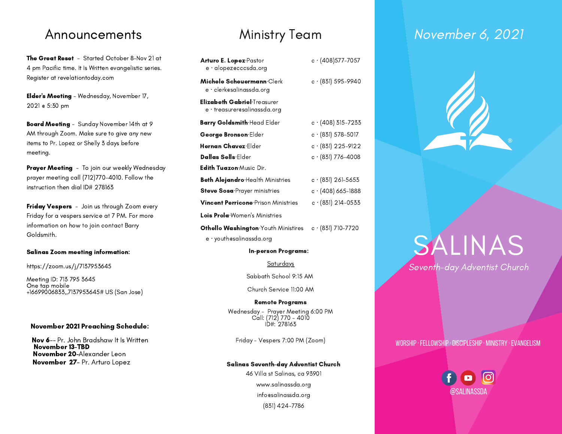The Great Reset - Started October 8-Nov 21 at 4 pm Pacific time. It Is Written evangelistic series. Register at revelationtoday.com

Elder's Meeting - Wednesday, November 17, 2021 @ 5:30 pm

Board Meeting - Sunday November 14th at 9 AM through Zoom. Make sure to give any new items to Pr. Lopez or Shelly 3 days before meeting.

Prayer Meeting - To join our weekly Wednesday prayer meeting call (712)770-4010. Follow the instruction then dial ID# 278163

Friday Vespers - Join us through Zoom every Friday for a vespers service at 7 PM. For more information on how to join contact Barry Goldsmith.

### Salinas Zoom meeting information:

### https://zoom.us/j/7137953645

Meeting ID: 713 795 3645 One tap mobile +16699006833,,7137953645# US (San Jose)

### November 2021 Preaching Schedule:

Nov 6-- Pr. John Bradshaw It Is Written November 13-TBD November 20-Alexander Leon November 27- Pr. Arturo Lopez

| <b>Arturo E. Lopez</b> Pastor<br>e · alopezecccsda.org      | $c \cdot (408)$ 577–7057   |
|-------------------------------------------------------------|----------------------------|
| Michele Scheuermann·Clerk<br>e · clerkesalinassda.org       | $c \cdot (831) 595 - 9940$ |
| Elizabeth Gabriel·Treasurer<br>e · treasurer@salinassda.org |                            |
| <b>Barry Goldsmith</b> Head Elder                           | $c \cdot (408)$ 315-7233   |
| George Bronson·Elder                                        | $c \cdot (831) 578 - 5017$ |
| Hernan Chavez·Elder                                         | $c \cdot (831)$ 225-9122   |
| <b>Dallas Sells</b> Flder                                   | $c \cdot (831)$ 776-4008   |
| <b>Edith Tuazon:</b> Music Dir.                             |                            |
| <b>Beth Alejandro</b> Health Ministries                     | $c \cdot (831)$ 261-5653   |
| <b>Steve Sosa</b> <sup>-Prayer ministries</sup>             | $c \cdot (408)$ 665-1888   |
| <b>Vincent Perricone</b> Prison Ministries                  | $c \cdot (831) 214 - 0533$ |
| Lois Prola Women's Ministries                               |                            |

Othello Washington∙Youth Ministires c · (831) 710-7720 e · youth@salinassda.org

### In-person Programs:

Saturdays

Sabbath School 9:15 AM

Church Service 11:00 AM

### Remote Programs

Wednesday - Prayer Meeting 6:00 PM Call: (712) 770 - 4010 ID#: 278163

Friday - Vespers 7:00 PM (Zoom)

### Salinas Seventh-day Adventist Church

46 Villa st Salinas, ca 93901 www.salinassda.org info@salinassda.org (831) 424-7786

# Announcements Ministry Team November 6, 2021



# SALINAS Seventh-day Adventist Church

### worship·fellowship·discipleship· ministry ·evangelism